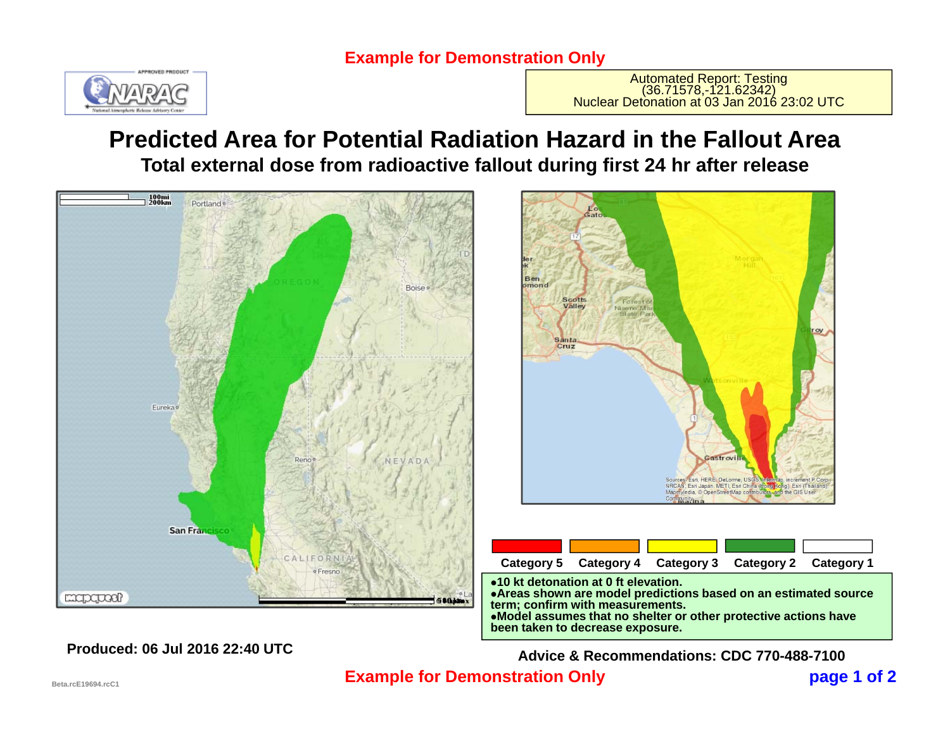### **Example for Demonstration Only**



Automated Report: Testing<br>(36.71578,-121.62342)<br>Nuclear Detonation at 03 Jan 2016 23:02 UTC

## **Predicted Area for Potential Radiation Hazard in the Fallout AreaTotal external dose from radioactive fallout during first 24 hr after release**



#### **Model assumes that no shelter or other protective actions have been taken to decrease exposure.**

**Advice & Recommendations: CDC 770-488-7100**

astrovi

sri, HERE, DeLorme, USO

ndia, © OpenStreetMap contril

Esti, HERE, Become, USOS, Internati, Increment Plotter, Corp.

and the GIS Use

**page 1 of 2 Example for Demonstration Only**

**Produced: 06 Jul 2016 22:40 UTC**